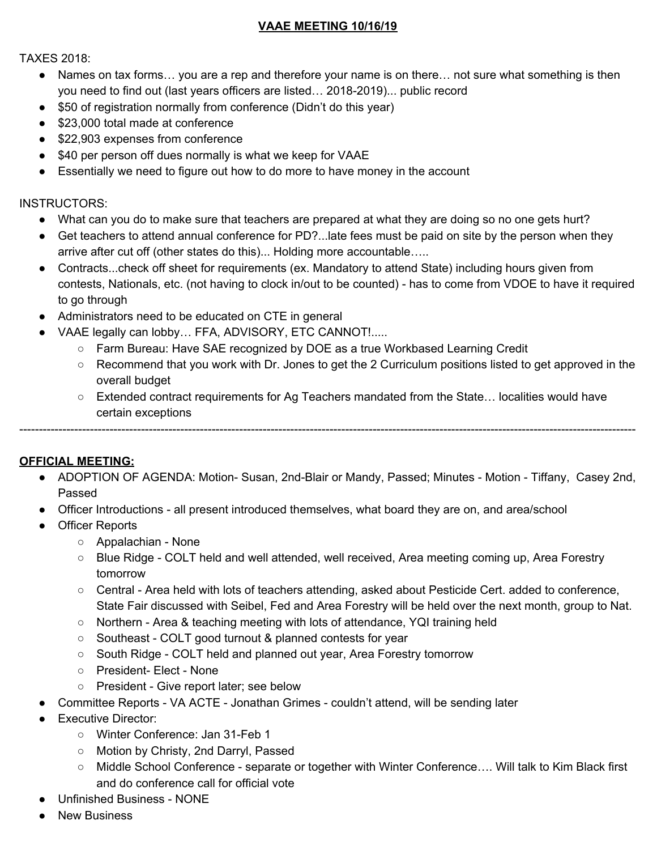### **VAAE MEETING 10/16/19**

TAXES 2018:

- Names on tax forms… you are a rep and therefore your name is on there… not sure what something is then you need to find out (last years officers are listed… 2018-2019)... public record
- \$50 of registration normally from conference (Didn't do this year)
- \$23,000 total made at conference
- \$22,903 expenses from conference
- \$40 per person off dues normally is what we keep for VAAE
- Essentially we need to figure out how to do more to have money in the account

#### INSTRUCTORS:

- What can you do to make sure that teachers are prepared at what they are doing so no one gets hurt?
- Get teachers to attend annual conference for PD?...late fees must be paid on site by the person when they arrive after cut off (other states do this)... Holding more accountable…..
- Contracts...check off sheet for requirements (ex. Mandatory to attend State) including hours given from contests, Nationals, etc. (not having to clock in/out to be counted) - has to come from VDOE to have it required to go through
- Administrators need to be educated on CTE in general
- VAAE legally can lobby… FFA, ADVISORY, ETC CANNOT!.....
	- Farm Bureau: Have SAE recognized by DOE as a true Workbased Learning Credit
	- Recommend that you work with Dr. Jones to get the 2 Curriculum positions listed to get approved in the overall budget
	- Extended contract requirements for Ag Teachers mandated from the State… localities would have certain exceptions

-------------------------------------------------------------------------------------------------------------------------------------------------------------

**OFFICIAL MEETING:**

- ADOPTION OF AGENDA: Motion- Susan, 2nd-Blair or Mandy, Passed; Minutes Motion Tiffany, Casey 2nd, Passed
- Officer Introductions all present introduced themselves, what board they are on, and area/school
- Officer Reports
	- Appalachian None
	- Blue Ridge COLT held and well attended, well received, Area meeting coming up, Area Forestry tomorrow
	- Central Area held with lots of teachers attending, asked about Pesticide Cert. added to conference, State Fair discussed with Seibel, Fed and Area Forestry will be held over the next month, group to Nat.
	- Northern Area & teaching meeting with lots of attendance, YQI training held
	- Southeast COLT good turnout & planned contests for year
	- South Ridge COLT held and planned out year, Area Forestry tomorrow
	- President- Elect None
	- President Give report later; see below
- Committee Reports VA ACTE Jonathan Grimes couldn't attend, will be sending later
- **Executive Director:** 
	- Winter Conference: Jan 31-Feb 1
	- Motion by Christy, 2nd Darryl, Passed
	- Middle School Conference separate or together with Winter Conference…. Will talk to Kim Black first and do conference call for official vote
- Unfinished Business NONE
- **New Business**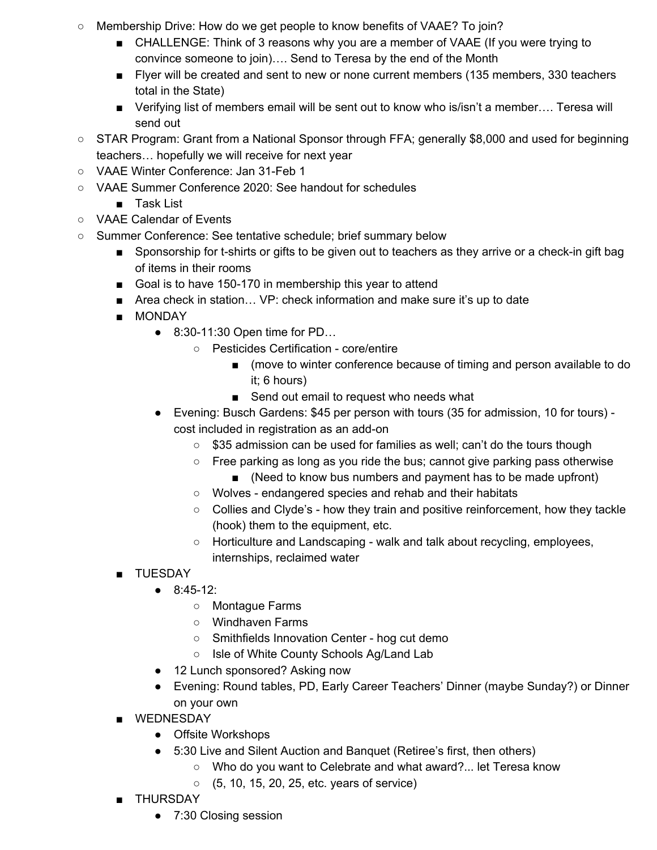- Membership Drive: How do we get people to know benefits of VAAE? To join?
	- CHALLENGE: Think of 3 reasons why you are a member of VAAE (If you were trying to convince someone to join)…. Send to Teresa by the end of the Month
	- Flyer will be created and sent to new or none current members (135 members, 330 teachers total in the State)
	- Verifying list of members email will be sent out to know who is/isn't a member.... Teresa will send out
- STAR Program: Grant from a National Sponsor through FFA; generally \$8,000 and used for beginning teachers… hopefully we will receive for next year
- VAAE Winter Conference: Jan 31-Feb 1
- VAAE Summer Conference 2020: See handout for schedules
	- Task List
- VAAE Calendar of Events
- Summer Conference: See tentative schedule; brief summary below
	- Sponsorship for t-shirts or gifts to be given out to teachers as they arrive or a check-in gift bag of items in their rooms
	- Goal is to have 150-170 in membership this year to attend
	- Area check in station... VP: check information and make sure it's up to date
	- MONDAY
		- 8:30-11:30 Open time for PD...
			- Pesticides Certification core/entire
				- (move to winter conference because of timing and person available to do it; 6 hours)
				- Send out email to request who needs what
		- Evening: Busch Gardens: \$45 per person with tours (35 for admission, 10 for tours) cost included in registration as an add-on
			- \$35 admission can be used for families as well; can't do the tours though
			- $\circ$  Free parking as long as you ride the bus; cannot give parking pass otherwise
				- (Need to know bus numbers and payment has to be made upfront)
			- Wolves endangered species and rehab and their habitats
			- Collies and Clyde's how they train and positive reinforcement, how they tackle (hook) them to the equipment, etc.
			- Horticulture and Landscaping walk and talk about recycling, employees, internships, reclaimed water
	- TUESDAY
		- 8:45-12:
			- Montague Farms
			- Windhaven Farms
			- Smithfields Innovation Center hog cut demo
			- Isle of White County Schools Ag/Land Lab
		- 12 Lunch sponsored? Asking now
		- Evening: Round tables, PD, Early Career Teachers' Dinner (maybe Sunday?) or Dinner on your own
	- WEDNESDAY
		- Offsite Workshops
		- 5:30 Live and Silent Auction and Banquet (Retiree's first, then others)
			- Who do you want to Celebrate and what award?... let Teresa know
			- (5, 10, 15, 20, 25, etc. years of service)
	- THURSDAY
		- 7:30 Closing session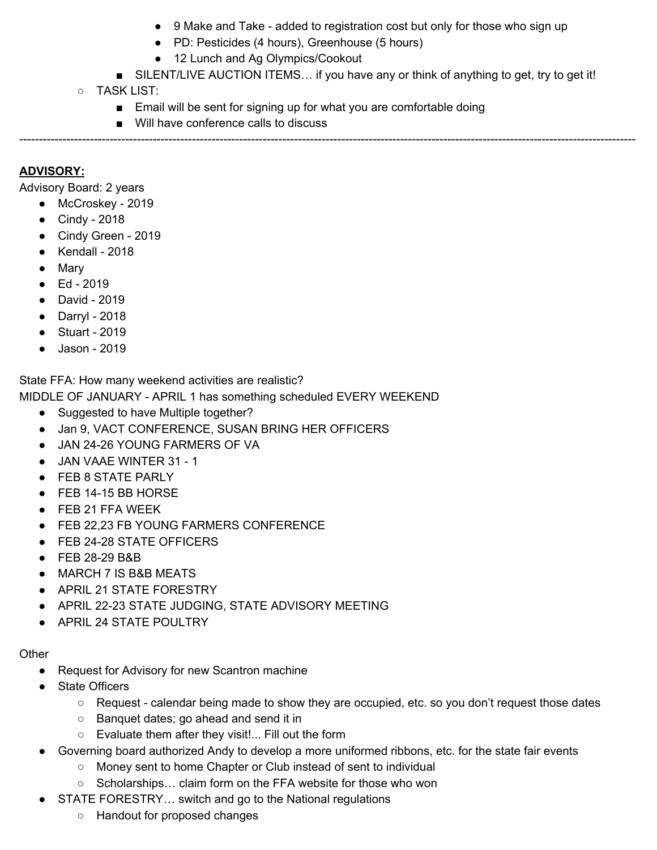- 9 Make and Take added to registration cost but only for those who sign up
- PD: Pesticides (4 hours), Greenhouse (5 hours)
- 12 Lunch and Ag Olympics/Cookout
- SILENT/LIVE AUCTION ITEMS... if you have any or think of anything to get, try to get it!
- TASK LIST:
	- Email will be sent for signing up for what you are comfortable doing

-------------------------------------------------------------------------------------------------------------------------------------------------------------

■ Will have conference calls to discuss

# **ADVISORY:**

Advisory Board: 2 years

- McCroskey 2019
- Cindy 2018
- Cindy Green 2019
- $\bullet$  Kendall 2018
- Mary
- Ed 2019
- David 2019
- Darryl 2018
- Stuart 2019
- Jason 2019

State FFA: How many weekend activities are realistic?

MIDDLE OF JANUARY - APRIL 1 has something scheduled EVERY WEEKEND

- Suggested to have Multiple together?
- Jan 9, VACT CONFERENCE, SUSAN BRING HER OFFICERS
- JAN 24-26 YOUNG FARMERS OF VA
- JAN VAAE WINTER 31 1
- FEB 8 STATE PARLY
- FEB 14-15 BB HORSE
- FEB 21 FFA WEEK
- FEB 22,23 FB YOUNG FARMERS CONFERENCE
- FEB 24-28 STATE OFFICERS
- FEB 28-29 B&B
- MARCH 7 IS B&B MEATS
- APRIL 21 STATE FORESTRY
- APRIL 22-23 STATE JUDGING, STATE ADVISORY MEETING
- APRIL 24 STATE POULTRY

#### **Other**

- Request for Advisory for new Scantron machine
- State Officers
	- Request calendar being made to show they are occupied, etc. so you don't request those dates
	- Banquet dates; go ahead and send it in
	- Evaluate them after they visit!... Fill out the form
- Governing board authorized Andy to develop a more uniformed ribbons, etc. for the state fair events
	- Money sent to home Chapter or Club instead of sent to individual
	- Scholarships… claim form on the FFA website for those who won
- STATE FORESTRY... switch and go to the National regulations
	- Handout for proposed changes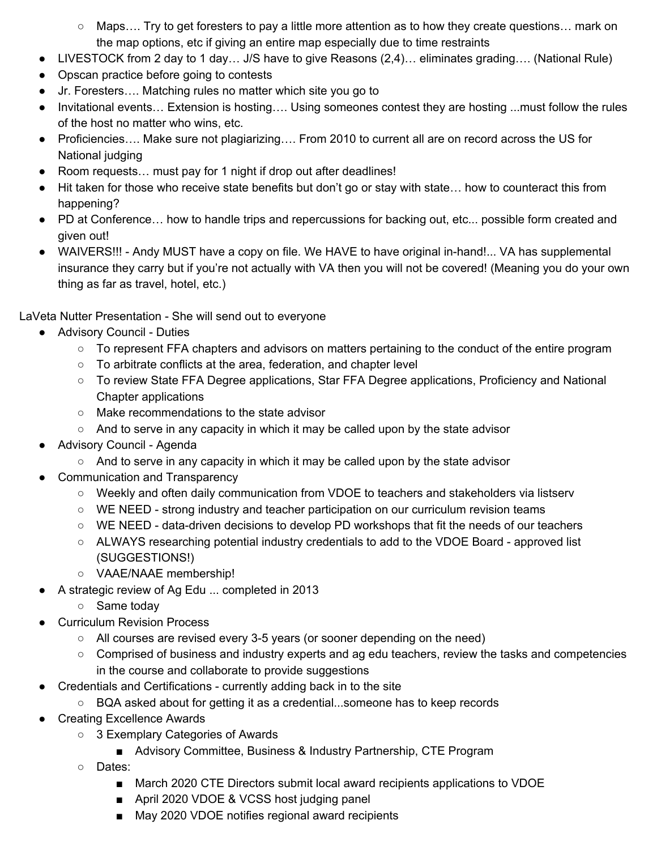- $\circ$  Maps.... Try to get foresters to pay a little more attention as to how they create questions... mark on the map options, etc if giving an entire map especially due to time restraints
- LIVESTOCK from 2 day to 1 day... J/S have to give Reasons (2,4)... eliminates grading.... (National Rule)
- Opscan practice before going to contests
- Jr. Foresters…. Matching rules no matter which site you go to
- Invitational events… Extension is hosting…. Using someones contest they are hosting ...must follow the rules of the host no matter who wins, etc.
- Proficiencies…. Make sure not plagiarizing…. From 2010 to current all are on record across the US for National judging
- Room requests... must pay for 1 night if drop out after deadlines!
- Hit taken for those who receive state benefits but don't go or stay with state... how to counteract this from happening?
- PD at Conference... how to handle trips and repercussions for backing out, etc... possible form created and given out!
- WAIVERS!!! Andy MUST have a copy on file. We HAVE to have original in-hand!... VA has supplemental insurance they carry but if you're not actually with VA then you will not be covered! (Meaning you do your own thing as far as travel, hotel, etc.)

LaVeta Nutter Presentation - She will send out to everyone

- Advisory Council Duties
	- To represent FFA chapters and advisors on matters pertaining to the conduct of the entire program
	- To arbitrate conflicts at the area, federation, and chapter level
	- To review State FFA Degree applications, Star FFA Degree applications, Proficiency and National Chapter applications
	- Make recommendations to the state advisor
	- $\circ$  And to serve in any capacity in which it may be called upon by the state advisor
- Advisory Council Agenda
	- $\circ$  And to serve in any capacity in which it may be called upon by the state advisor
- Communication and Transparency
	- Weekly and often daily communication from VDOE to teachers and stakeholders via listserv
	- WE NEED strong industry and teacher participation on our curriculum revision teams
	- WE NEED data-driven decisions to develop PD workshops that fit the needs of our teachers
	- ALWAYS researching potential industry credentials to add to the VDOE Board approved list (SUGGESTIONS!)
	- VAAE/NAAE membership!
- A strategic review of Ag Edu ... completed in 2013
	- Same today
- **Curriculum Revision Process** 
	- All courses are revised every 3-5 years (or sooner depending on the need)
	- Comprised of business and industry experts and ag edu teachers, review the tasks and competencies in the course and collaborate to provide suggestions
- Credentials and Certifications currently adding back in to the site
	- BQA asked about for getting it as a credential...someone has to keep records
- Creating Excellence Awards
	- 3 Exemplary Categories of Awards
		- Advisory Committee, Business & Industry Partnership, CTE Program
	- Dates:
		- March 2020 CTE Directors submit local award recipients applications to VDOE
		- April 2020 VDOE & VCSS host judging panel
		- May 2020 VDOE notifies regional award recipients